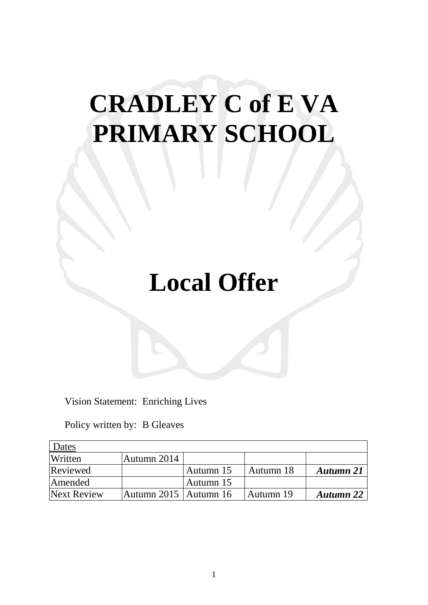# **CRADLEY C of E VA PRIMARY SCHOOL**

# **Local Offer**

Vision Statement: Enriching Lives

Policy written by: B Gleaves

| Dates       |                                  |           |           |                  |
|-------------|----------------------------------|-----------|-----------|------------------|
| Written     | Autumn 2014                      |           |           |                  |
| Reviewed    |                                  | Autumn 15 | Autumn 18 | <b>Autumn</b> 21 |
| Amended     |                                  | Autumn 15 |           |                  |
| Next Review | $\lambda$ utumn 2015   Autumn 16 |           | Autumn 19 | <b>Autumn</b> 22 |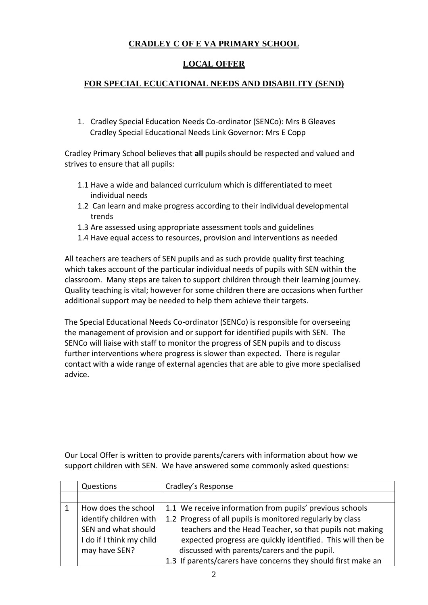## **CRADLEY C OF E VA PRIMARY SCHOOL**

### **LOCAL OFFER**

#### **FOR SPECIAL ECUCATIONAL NEEDS AND DISABILITY (SEND)**

1. Cradley Special Education Needs Co-ordinator (SENCo): Mrs B Gleaves Cradley Special Educational Needs Link Governor: Mrs E Copp

Cradley Primary School believes that **all** pupils should be respected and valued and strives to ensure that all pupils:

- 1.1 Have a wide and balanced curriculum which is differentiated to meet individual needs
- 1.2 Can learn and make progress according to their individual developmental trends
- 1.3 Are assessed using appropriate assessment tools and guidelines
- 1.4 Have equal access to resources, provision and interventions as needed

All teachers are teachers of SEN pupils and as such provide quality first teaching which takes account of the particular individual needs of pupils with SEN within the classroom. Many steps are taken to support children through their learning journey. Quality teaching is vital; however for some children there are occasions when further additional support may be needed to help them achieve their targets.

The Special Educational Needs Co-ordinator (SENCo) is responsible for overseeing the management of provision and or support for identified pupils with SEN. The SENCo will liaise with staff to monitor the progress of SEN pupils and to discuss further interventions where progress is slower than expected. There is regular contact with a wide range of external agencies that are able to give more specialised advice.

Our Local Offer is written to provide parents/carers with information about how we support children with SEN. We have answered some commonly asked questions:

| Questions                | Cradley's Response                                            |
|--------------------------|---------------------------------------------------------------|
|                          |                                                               |
| How does the school      | 1.1 We receive information from pupils' previous schools      |
| identify children with   | 1.2 Progress of all pupils is monitored regularly by class    |
| SEN and what should      | teachers and the Head Teacher, so that pupils not making      |
| I do if I think my child | expected progress are quickly identified. This will then be   |
| may have SEN?            | discussed with parents/carers and the pupil.                  |
|                          | 1.3 If parents/carers have concerns they should first make an |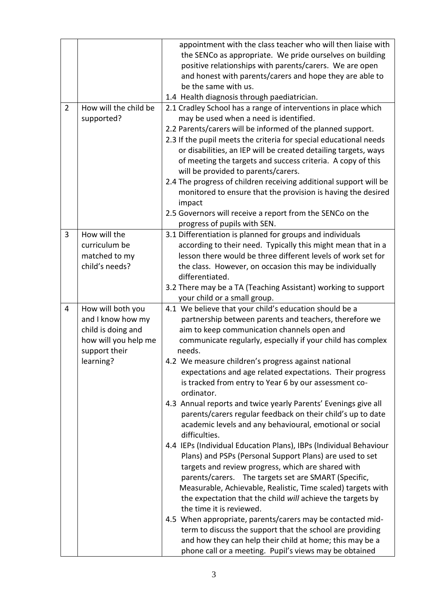| $\overline{2}$ | How will the child be<br>supported?                                                                                | appointment with the class teacher who will then liaise with<br>the SENCo as appropriate. We pride ourselves on building<br>positive relationships with parents/carers. We are open<br>and honest with parents/carers and hope they are able to<br>be the same with us.<br>1.4 Health diagnosis through paediatrician.<br>2.1 Cradley School has a range of interventions in place which<br>may be used when a need is identified.<br>2.2 Parents/carers will be informed of the planned support.<br>2.3 If the pupil meets the criteria for special educational needs<br>or disabilities, an IEP will be created detailing targets, ways<br>of meeting the targets and success criteria. A copy of this<br>will be provided to parents/carers.<br>2.4 The progress of children receiving additional support will be<br>monitored to ensure that the provision is having the desired<br>impact                                                                                                                                                                                                                                                                                                                                                                                                                                              |
|----------------|--------------------------------------------------------------------------------------------------------------------|---------------------------------------------------------------------------------------------------------------------------------------------------------------------------------------------------------------------------------------------------------------------------------------------------------------------------------------------------------------------------------------------------------------------------------------------------------------------------------------------------------------------------------------------------------------------------------------------------------------------------------------------------------------------------------------------------------------------------------------------------------------------------------------------------------------------------------------------------------------------------------------------------------------------------------------------------------------------------------------------------------------------------------------------------------------------------------------------------------------------------------------------------------------------------------------------------------------------------------------------------------------------------------------------------------------------------------------------|
|                |                                                                                                                    | 2.5 Governors will receive a report from the SENCo on the<br>progress of pupils with SEN.                                                                                                                                                                                                                                                                                                                                                                                                                                                                                                                                                                                                                                                                                                                                                                                                                                                                                                                                                                                                                                                                                                                                                                                                                                                   |
| 3              | How will the<br>curriculum be<br>matched to my<br>child's needs?                                                   | 3.1 Differentiation is planned for groups and individuals<br>according to their need. Typically this might mean that in a<br>lesson there would be three different levels of work set for<br>the class. However, on occasion this may be individually<br>differentiated.<br>3.2 There may be a TA (Teaching Assistant) working to support                                                                                                                                                                                                                                                                                                                                                                                                                                                                                                                                                                                                                                                                                                                                                                                                                                                                                                                                                                                                   |
| 4              | How will both you<br>and I know how my<br>child is doing and<br>how will you help me<br>support their<br>learning? | your child or a small group.<br>4.1 We believe that your child's education should be a<br>partnership between parents and teachers, therefore we<br>aim to keep communication channels open and<br>communicate regularly, especially if your child has complex<br>needs.<br>4.2 We measure children's progress against national<br>expectations and age related expectations. Their progress<br>is tracked from entry to Year 6 by our assessment co-<br>ordinator.<br>4.3 Annual reports and twice yearly Parents' Evenings give all<br>parents/carers regular feedback on their child's up to date<br>academic levels and any behavioural, emotional or social<br>difficulties.<br>4.4 IEPs (Individual Education Plans), IBPs (Individual Behaviour<br>Plans) and PSPs (Personal Support Plans) are used to set<br>targets and review progress, which are shared with<br>parents/carers. The targets set are SMART (Specific,<br>Measurable, Achievable, Realistic, Time scaled) targets with<br>the expectation that the child will achieve the targets by<br>the time it is reviewed.<br>4.5 When appropriate, parents/carers may be contacted mid-<br>term to discuss the support that the school are providing<br>and how they can help their child at home; this may be a<br>phone call or a meeting. Pupil's views may be obtained |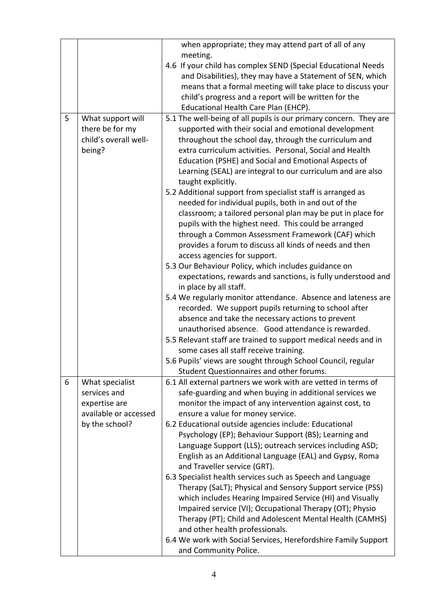|   |                       | when appropriate; they may attend part of all of any              |
|---|-----------------------|-------------------------------------------------------------------|
|   |                       | meeting.                                                          |
|   |                       | 4.6 If your child has complex SEND (Special Educational Needs     |
|   |                       | and Disabilities), they may have a Statement of SEN, which        |
|   |                       | means that a formal meeting will take place to discuss your       |
|   |                       | child's progress and a report will be written for the             |
|   |                       | Educational Health Care Plan (EHCP).                              |
| 5 | What support will     | 5.1 The well-being of all pupils is our primary concern. They are |
|   | there be for my       | supported with their social and emotional development             |
|   | child's overall well- | throughout the school day, through the curriculum and             |
|   | being?                | extra curriculum activities. Personal, Social and Health          |
|   |                       | Education (PSHE) and Social and Emotional Aspects of              |
|   |                       | Learning (SEAL) are integral to our curriculum and are also       |
|   |                       | taught explicitly.                                                |
|   |                       | 5.2 Additional support from specialist staff is arranged as       |
|   |                       | needed for individual pupils, both in and out of the              |
|   |                       | classroom; a tailored personal plan may be put in place for       |
|   |                       | pupils with the highest need. This could be arranged              |
|   |                       | through a Common Assessment Framework (CAF) which                 |
|   |                       | provides a forum to discuss all kinds of needs and then           |
|   |                       | access agencies for support.                                      |
|   |                       | 5.3 Our Behaviour Policy, which includes guidance on              |
|   |                       | expectations, rewards and sanctions, is fully understood and      |
|   |                       | in place by all staff.                                            |
|   |                       | 5.4 We regularly monitor attendance. Absence and lateness are     |
|   |                       | recorded. We support pupils returning to school after             |
|   |                       | absence and take the necessary actions to prevent                 |
|   |                       | unauthorised absence. Good attendance is rewarded.                |
|   |                       | 5.5 Relevant staff are trained to support medical needs and in    |
|   |                       | some cases all staff receive training.                            |
|   |                       | 5.6 Pupils' views are sought through School Council, regular      |
|   |                       |                                                                   |
|   |                       | Student Questionnaires and other forums.                          |
| 6 | What specialist       | 6.1 All external partners we work with are vetted in terms of     |
|   | services and          | safe-guarding and when buying in additional services we           |
|   | expertise are         | monitor the impact of any intervention against cost, to           |
|   | available or accessed | ensure a value for money service.                                 |
|   | by the school?        | 6.2 Educational outside agencies include: Educational             |
|   |                       | Psychology (EP); Behaviour Support (BS); Learning and             |
|   |                       | Language Support (LLS); outreach services including ASD;          |
|   |                       | English as an Additional Language (EAL) and Gypsy, Roma           |
|   |                       | and Traveller service (GRT).                                      |
|   |                       | 6.3 Specialist health services such as Speech and Language        |
|   |                       | Therapy (SaLT); Physical and Sensory Support service (PSS)        |
|   |                       | which includes Hearing Impaired Service (HI) and Visually         |
|   |                       | Impaired service (VI); Occupational Therapy (OT); Physio          |
|   |                       | Therapy (PT); Child and Adolescent Mental Health (CAMHS)          |
|   |                       | and other health professionals.                                   |
|   |                       | 6.4 We work with Social Services, Herefordshire Family Support    |
|   |                       | and Community Police.                                             |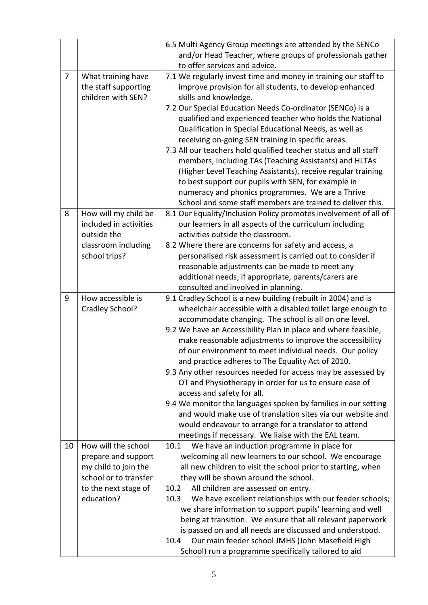|                |                                                                                                                                   | 6.5 Multi Agency Group meetings are attended by the SENCo<br>and/or Head Teacher, where groups of professionals gather<br>to offer services and advice.                                                                                                                                                                                                                                                                                                                                                                                                                                                                                                                                                                                                                                                                                       |
|----------------|-----------------------------------------------------------------------------------------------------------------------------------|-----------------------------------------------------------------------------------------------------------------------------------------------------------------------------------------------------------------------------------------------------------------------------------------------------------------------------------------------------------------------------------------------------------------------------------------------------------------------------------------------------------------------------------------------------------------------------------------------------------------------------------------------------------------------------------------------------------------------------------------------------------------------------------------------------------------------------------------------|
| $\overline{7}$ | What training have<br>the staff supporting<br>children with SEN?                                                                  | 7.1 We regularly invest time and money in training our staff to<br>improve provision for all students, to develop enhanced<br>skills and knowledge.<br>7.2 Our Special Education Needs Co-ordinator (SENCo) is a<br>qualified and experienced teacher who holds the National<br>Qualification in Special Educational Needs, as well as<br>receiving on-going SEN training in specific areas.<br>7.3 All our teachers hold qualified teacher status and all staff<br>members, including TAs (Teaching Assistants) and HLTAs<br>(Higher Level Teaching Assistants), receive regular training<br>to best support our pupils with SEN, for example in<br>numeracy and phonics programmes. We are a Thrive<br>School and some staff members are trained to deliver this.                                                                           |
| 8              | How will my child be<br>included in activities<br>outside the<br>classroom including<br>school trips?                             | 8.1 Our Equality/Inclusion Policy promotes involvement of all of<br>our learners in all aspects of the curriculum including<br>activities outside the classroom.<br>8.2 Where there are concerns for safety and access, a<br>personalised risk assessment is carried out to consider if<br>reasonable adjustments can be made to meet any<br>additional needs; if appropriate, parents/carers are<br>consulted and involved in planning.                                                                                                                                                                                                                                                                                                                                                                                                      |
| 9              | How accessible is<br>Cradley School?                                                                                              | 9.1 Cradley School is a new building (rebuilt in 2004) and is<br>wheelchair accessible with a disabled toilet large enough to<br>accommodate changing. The school is all on one level.<br>9.2 We have an Accessibility Plan in place and where feasible,<br>make reasonable adjustments to improve the accessibility<br>of our environment to meet individual needs. Our policy<br>and practice adheres to The Equality Act of 2010.<br>9.3 Any other resources needed for access may be assessed by<br>OT and Physiotherapy in order for us to ensure ease of<br>access and safety for all.<br>9.4 We monitor the languages spoken by families in our setting<br>and would make use of translation sites via our website and<br>would endeavour to arrange for a translator to attend<br>meetings if necessary. We liaise with the EAL team. |
| 10             | How will the school<br>prepare and support<br>my child to join the<br>school or to transfer<br>to the next stage of<br>education? | We have an induction programme in place for<br>10.1<br>welcoming all new learners to our school. We encourage<br>all new children to visit the school prior to starting, when<br>they will be shown around the school.<br>All children are assessed on entry.<br>10.2<br>We have excellent relationships with our feeder schools;<br>10.3<br>we share information to support pupils' learning and well<br>being at transition. We ensure that all relevant paperwork<br>is passed on and all needs are discussed and understood.<br>Our main feeder school JMHS (John Masefield High<br>10.4<br>School) run a programme specifically tailored to aid                                                                                                                                                                                          |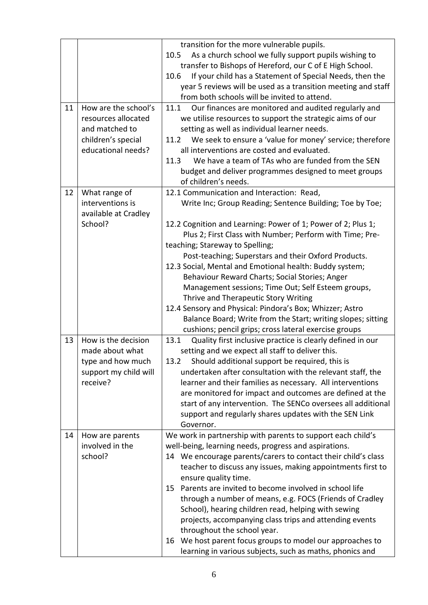| 11 | How are the school's<br>resources allocated<br>and matched to<br>children's special<br>educational needs? | transition for the more vulnerable pupils.<br>As a church school we fully support pupils wishing to<br>10.5<br>transfer to Bishops of Hereford, our C of E High School.<br>If your child has a Statement of Special Needs, then the<br>10.6<br>year 5 reviews will be used as a transition meeting and staff<br>from both schools will be invited to attend.<br>Our finances are monitored and audited regularly and<br>11.1<br>we utilise resources to support the strategic aims of our<br>setting as well as individual learner needs.<br>We seek to ensure a 'value for money' service; therefore<br>11.2<br>all interventions are costed and evaluated.<br>We have a team of TAs who are funded from the SEN<br>11.3<br>budget and deliver programmes designed to meet groups<br>of children's needs. |
|----|-----------------------------------------------------------------------------------------------------------|------------------------------------------------------------------------------------------------------------------------------------------------------------------------------------------------------------------------------------------------------------------------------------------------------------------------------------------------------------------------------------------------------------------------------------------------------------------------------------------------------------------------------------------------------------------------------------------------------------------------------------------------------------------------------------------------------------------------------------------------------------------------------------------------------------|
| 12 | What range of<br>interventions is<br>available at Cradley<br>School?                                      | 12.1 Communication and Interaction: Read,<br>Write Inc; Group Reading; Sentence Building; Toe by Toe;<br>12.2 Cognition and Learning: Power of 1; Power of 2; Plus 1;<br>Plus 2; First Class with Number; Perform with Time; Pre-<br>teaching; Stareway to Spelling;<br>Post-teaching; Superstars and their Oxford Products.<br>12.3 Social, Mental and Emotional health: Buddy system;<br>Behaviour Reward Charts; Social Stories; Anger<br>Management sessions; Time Out; Self Esteem groups,<br>Thrive and Therapeutic Story Writing<br>12.4 Sensory and Physical: Pindora's Box; Whizzer; Astro<br>Balance Board; Write from the Start; writing slopes; sitting<br>cushions; pencil grips; cross lateral exercise groups                                                                               |
| 13 | How is the decision<br>made about what<br>type and how much<br>support my child will<br>receive?          | 13.1<br>Quality first inclusive practice is clearly defined in our<br>setting and we expect all staff to deliver this.<br>13.2 Should additional support be required, this is<br>undertaken after consultation with the relevant staff, the<br>learner and their families as necessary. All interventions<br>are monitored for impact and outcomes are defined at the<br>start of any intervention. The SENCo oversees all additional<br>support and regularly shares updates with the SEN Link<br>Governor.                                                                                                                                                                                                                                                                                               |
| 14 | How are parents<br>involved in the<br>school?                                                             | We work in partnership with parents to support each child's<br>well-being, learning needs, progress and aspirations.<br>14 We encourage parents/carers to contact their child's class<br>teacher to discuss any issues, making appointments first to<br>ensure quality time.<br>Parents are invited to become involved in school life<br>15<br>through a number of means, e.g. FOCS (Friends of Cradley<br>School), hearing children read, helping with sewing<br>projects, accompanying class trips and attending events<br>throughout the school year.<br>We host parent focus groups to model our approaches to<br>16<br>learning in various subjects, such as maths, phonics and                                                                                                                       |